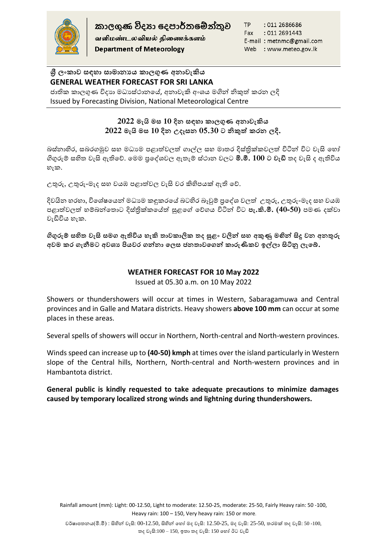

வளிமண்டலவியல் திணைக்களம் **Department of Meteorology** 

TP : 011 2686686 : 011 2691443 Fax E-mail: metnmc@gmail.com Web : www.meteo.gov.lk

# **ශ්රී ලංකාව සඳහා සාමානයය කාලගුණ අනාවැකිය GENERAL WEATHER FORECAST FOR SRI LANKA**

ජාතික කාලගුණ විදාහ මධාස්ථානයේ, අනාවැකි අංශය මගින් නිකුත් කරන ලදි Issued by Forecasting Division, National Meteorological Centre

# **2022 මැයි මස 10 දින සඳහා කාලගුණ අනාවැකිය 2022 මැයි මස 10 දින උදෑසන 05.30 ට නිකුත් කරන ලදි.**

බස්නාහිර, සබරගමුව සහ මධාාම පළාත්වලත් ගාල්ල සහ මාතර දිස්තික්කවලත් විටින් විට වැසි හෝ ගිගුරුම් සහිත වැසි ඇතිහේ. හමම ප්රහශවවල ඇතැම් ස්ාාන වලට **මි.මී. 100 ට වැඩි** තද වැසි ද ඇතිවිය හැක.

උතුරු, උතුරු-මැද ස වයඹ පළාත්වල වැසි වර කිහිපයක් ඇති හේ.

දිවයින හරහා, විශේෂයෙන් මධාාම කඳුකරයේ බටහිර බෑවුම් පුදේශ වලත් උතුරු, උතුරු-මැද සහ වයඹ පළාත්වලත් ම්බන්හතාට දිස්ික්ලහ ත් සුළහේ හේගය විටින් විට **පැ.කි.මී. (40-50)** පමණ දක්වා වැඩිවිය හැක.

**ගිගුරුම් සහිත වැසි සමග ඇතිවිය හැකි තාවකාලික තද සුළං වලින් සහ අකුණු මඟින් සිදු වන අනතුරු**  අවම කර ගැනීමට අවශා පියවර ගන්නා ලෙස ජනතාවගෙන් කාරුණිකව ඉල්ලා සිටිනු ලැබේ.

# **WEATHER FORECAST FOR 10 May 2022**

Issued at 05.30 a.m. on 10 May 2022

Showers or thundershowers will occur at times in Western, Sabaragamuwa and Central provinces and in Galle and Matara districts. Heavy showers **above 100 mm** can occur at some places in these areas.

Several spells of showers will occur in Northern, North-central and North-western provinces.

Winds speed can increase up to **(40-50) kmph** at times over the island particularly in Western slope of the Central hills, Northern, North-central and North-western provinces and in Hambantota district.

### **General public is kindly requested to take adequate precautions to minimize damages caused by temporary localized strong winds and lightning during thundershowers.**

Rainfall amount (mm): Light: 00-12.50, Light to moderate: 12.50-25, moderate: 25-50, Fairly Heavy rain: 50 -100, Heavy rain: 100 – 150, Very heavy rain: 150 or more.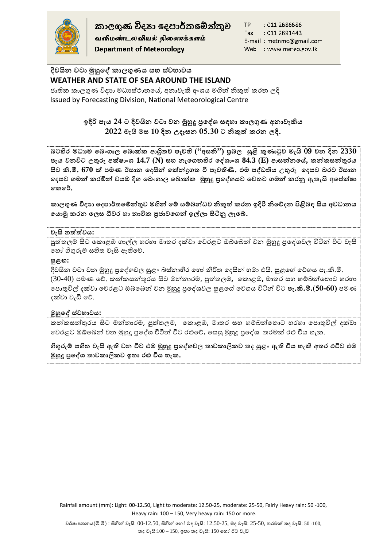

කාලගණ විදහා දෙපාර්තමේන්තුව

வளிமண்டலவியல் திணைக்களம் **Department of Meteorology** 

TP : 011 2686686 Fax : 011 2691443 E-mail: metnmc@gmail.com Web : www.meteo.gov.lk

# **දිවයින වටා මුහුෙේ කාලගුණය සහ ස්වභාවය WEATHER AND STATE OF SEA AROUND THE ISLAND**

ජාතික කාලගුණ විදාහ මධාස්ථානයේ, අනාවැකි අංශය මගින් නිකුත් කරන ලදි Issued by Forecasting Division, National Meteorological Centre

# **ලදිරි පැය 24 ට දිවයින වටා වන මුහුදු ප්රෙේශ් සඳහා කාලගුණ අනාවැකිය 2022 මැයි මස 10 දින උදෑසන 05.30 ට නිකුත් කරන ලදි.**

**බටහිර මධ්යම ෙබංගාල ෙබාක්ක ආශ්රිතව පැවති ("අසනි") ප්රබල සුළි කුණාටුව මැයි 09 වන දින 2330 පැය වනවිට උතුරු අක්්ාංශ් 14.7 (N) සහ නැෙගනහිර ෙේශ්ාංශ් 84.3 (E) ආසන්නෙේ, කන්කසන්තුරය සිට කි.මී. 670 ක් පමණ ඊසාන ෙදසින් ෙක්න්රගත ී පැවතිික. එම පේධ්තිය උතුරු ෙදසට බරව ඊසාන ෙදසට ගමන් කරමින් වයඹ දිග ෙබංගාල ෙබාක්ක මුහුදු ප්රෙේශ්යට ෙවතට ගමන් කරු ඇතැයි අෙේක්්ා ෙකෙේ.**

**කාලගුණ විදයා ෙදපාේතෙම්න්තුව මගින් ෙම් සම්බන්ධ්ව නිකුත් කරන ලදිරි නිෙදදන ියළිබඳ සිය අවධ්ානය ෙයාමු කරන ෙලස ධීවර හා නාවික ප්රනාවෙගන් ල්ලා සිිනු ලැෙ .**

### **වැසි තත්ත්වය:**

පුත්තලම සිට කොළඹ ගාල්ල හරහා මාතර දක්වා වෙරළට ඔබ්බෙන් වන මුහුදු පුදේශවල විටින් විට වැසි හ ෝ ගිගුරුම් සහිත වැසි ඇතිහේ.

#### **සුළඟ:**

දිවයින වටා වන මුහුදු පුදේශවල සුළං බස්නාහිර හෝ නිරිත දෙසින් හමා එයි. සුළගේ වේගය පැ.කි.මී. (30-40) පමණ වේ. කන්කසන්තුරය සිට මන්නාරම, පුත්තලම**,** කොළඹ, මාතර සහ හම්බන්තොට හරහා හපාතුවිල් දක්වා හවරළට ඔබ්හබන් වන මුහුදු ප්රහශවවල සුළහේ හේගය විටින් විට **පැ.කි.මී.**(**50-60)** පමණ දක්වා වැඩි හේ.

#### **මුහුෙේ ස්වභාවය:**

කන්කසන්තුරය සිට මන්නාරම, පුත්තලම, කොළඹ, මාතර සහ හම්බන්තොට හරහා පොතුවිල් දක්වා හවරළට ඔබ්හබන් වන මුහුදු ප්රහශව විටින් විට රළුහේ**.** හසසු මුහුදු ප්රහශව තරමක් රළු විය ැල.

**ගිගුරුම් සහිත වැසි ඇති වන විට එම මුහුදු ප්රෙේශ්වල තාවකාලිකව තද සුළං ඇති විය හැකි අතර එවිට එම මුහුදු ප්රෙේශ් තාවකාලිකව ලතා රු විය හැක.**